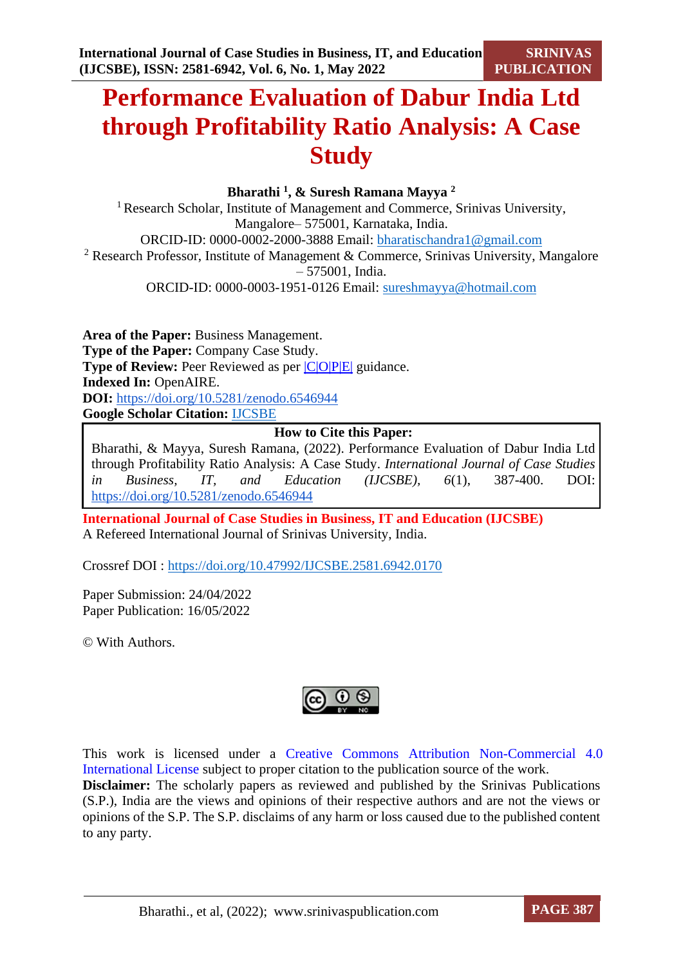# **Performance Evaluation of Dabur India Ltd through Profitability Ratio Analysis: A Case Study**

**Bharathi <sup>1</sup> , & Suresh Ramana Mayya <sup>2</sup>**

<sup>1</sup> Research Scholar, Institute of Management and Commerce, Srinivas University, Mangalore– 575001, Karnataka, India. ORCID-ID: 0000-0002-2000-3888 Email: [bharatischandra1@gmail.com](mailto:bharatischandra1@gmail.com) <sup>2</sup> Research Professor, Institute of Management & Commerce, Srinivas University, Mangalore – 575001, India. ORCID-ID: 0000-0003-1951-0126 Email: [sureshmayya@hotmail.com](mailto:sureshmayya@hotmail.com)

**Area of the Paper:** Business Management. **Type of the Paper:** Company Case Study. **Type of Review:** Peer Reviewed as per  $|C|O||P|E|$  guidance. **Indexed In:** OpenAIRE. **DOI:** <https://doi.org/10.5281/zenodo.6546944> **Google Scholar Citation:** [IJCSBE](https://scholar.google.com/citations?user=yGYPA1MAAAAJ)

### **How to Cite this Paper:**

Bharathi, & Mayya, Suresh Ramana, (2022). Performance Evaluation of Dabur India Ltd through Profitability Ratio Analysis: A Case Study. *International Journal of Case Studies in Business, IT, and Education (IJCSBE), 6*(1), 387-400. DOI: <https://doi.org/10.5281/zenodo.6546944>

**International Journal of Case Studies in Business, IT and Education (IJCSBE)** A Refereed International Journal of Srinivas University, India.

Crossref DOI : [https://doi.org/10.47992/IJCSBE.2581.6942.0170](https://search.crossref.org/?q=10.47992%2FIJCSBE.2581.6942.0170&from_ui=yes)

Paper Submission: 24/04/2022 Paper Publication: 16/05/2022

© With Authors.



This work is licensed under a Creative Commons Attribution Non-Commercial 4.0 International License subject to proper citation to the publication source of the work. **Disclaimer:** The scholarly papers as reviewed and published by the Srinivas Publications (S.P.), India are the views and opinions of their respective authors and are not the views or opinions of the S.P. The S.P. disclaims of any harm or loss caused due to the published content to any party.

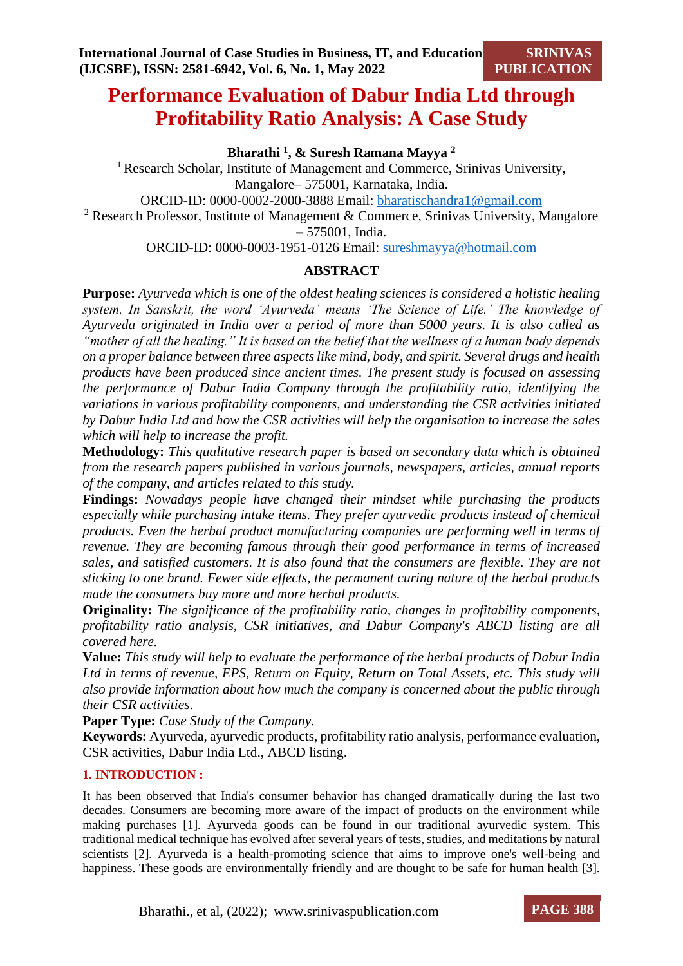# **Performance Evaluation of Dabur India Ltd through Profitability Ratio Analysis: A Case Study**

**Bharathi <sup>1</sup> , & Suresh Ramana Mayya <sup>2</sup>**

<sup>1</sup> Research Scholar, Institute of Management and Commerce, Srinivas University, Mangalore– 575001, Karnataka, India.

ORCID-ID: 0000-0002-2000-3888 Email: [bharatischandra1@gmail.com](mailto:bharatischandra1@gmail.com)

<sup>2</sup> Research Professor, Institute of Management & Commerce, Srinivas University, Mangalore – 575001, India.

ORCID-ID: 0000-0003-1951-0126 Email: [sureshmayya@hotmail.com](mailto:sureshmayya@hotmail.com)

# **ABSTRACT**

**Purpose:** *Ayurveda which is one of the oldest healing sciences is considered a holistic healing system. In Sanskrit, the word 'Ayurveda' means 'The Science of Life.' The knowledge of Ayurveda originated in India over a period of more than 5000 years. It is also called as "mother of all the healing." It is based on the belief that the wellness of a human body depends on a proper balance between three aspects like mind, body, and spirit. Several drugs and health products have been produced since ancient times. The present study is focused on assessing the performance of Dabur India Company through the profitability ratio, identifying the variations in various profitability components, and understanding the CSR activities initiated by Dabur India Ltd and how the CSR activities will help the organisation to increase the sales which will help to increase the profit.*

**Methodology:** *This qualitative research paper is based on secondary data which is obtained from the research papers published in various journals, newspapers, articles, annual reports of the company, and articles related to this study.* 

**Findings:** *Nowadays people have changed their mindset while purchasing the products especially while purchasing intake items. They prefer ayurvedic products instead of chemical products. Even the herbal product manufacturing companies are performing well in terms of revenue. They are becoming famous through their good performance in terms of increased sales, and satisfied customers. It is also found that the consumers are flexible. They are not sticking to one brand. Fewer side effects, the permanent curing nature of the herbal products made the consumers buy more and more herbal products.*

**Originality:** *The significance of the profitability ratio, changes in profitability components, profitability ratio analysis, CSR initiatives, and Dabur Company's ABCD listing are all covered here.*

**Value:** *This study will help to evaluate the performance of the herbal products of Dabur India Ltd in terms of revenue, EPS, Return on Equity, Return on Total Assets, etc. This study will also provide information about how much the company is concerned about the public through their CSR activities*.

**Paper Type:** *Case Study of the Company.*

**Keywords:** Ayurveda, ayurvedic products, profitability ratio analysis, performance evaluation, CSR activities, Dabur India Ltd., ABCD listing.

## **1. INTRODUCTION :**

It has been observed that India's consumer behavior has changed dramatically during the last two decades. Consumers are becoming more aware of the impact of products on the environment while making purchases [1]. Ayurveda goods can be found in our traditional ayurvedic system. This traditional medical technique has evolved after several years of tests, studies, and meditations by natural scientists [2]. Ayurveda is a health-promoting science that aims to improve one's well-being and happiness. These goods are environmentally friendly and are thought to be safe for human health [3].

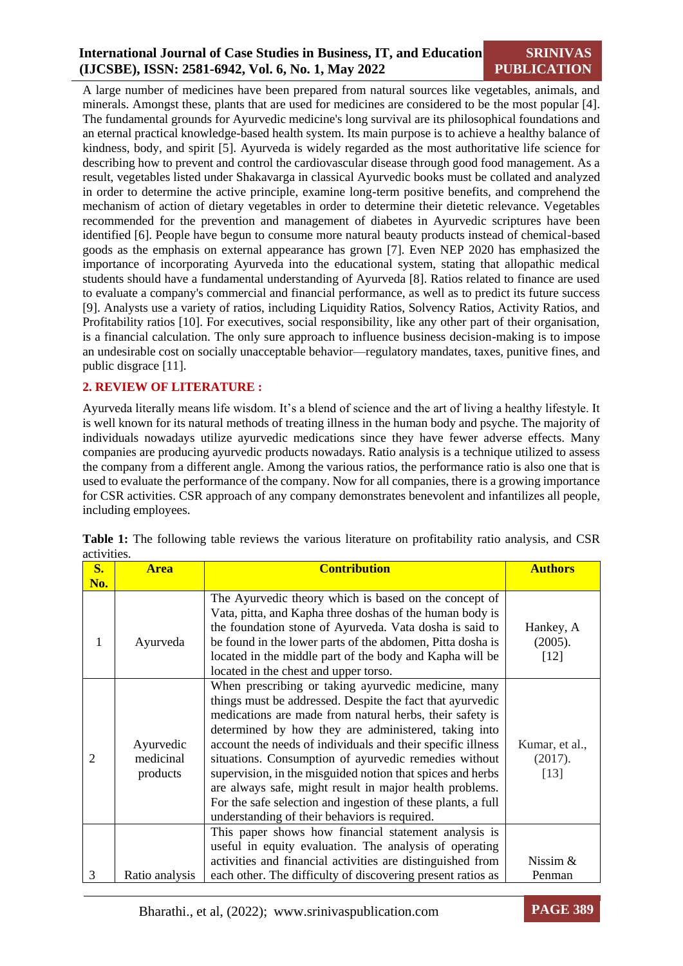# **International Journal of Case Studies in Business, IT, and Education (IJCSBE), ISSN: 2581-6942, Vol. 6, No. 1, May 2022**

**SRINIVAS PUBLICATION**

A large number of medicines have been prepared from natural sources like vegetables, animals, and minerals. Amongst these, plants that are used for medicines are considered to be the most popular [4]. The fundamental grounds for Ayurvedic medicine's long survival are its philosophical foundations and an eternal practical knowledge-based health system. Its main purpose is to achieve a healthy balance of kindness, body, and spirit [5]. Ayurveda is widely regarded as the most authoritative life science for describing how to prevent and control the cardiovascular disease through good food management. As a result, vegetables listed under Shakavarga in classical Ayurvedic books must be collated and analyzed in order to determine the active principle, examine long-term positive benefits, and comprehend the mechanism of action of dietary vegetables in order to determine their dietetic relevance. Vegetables recommended for the prevention and management of diabetes in Ayurvedic scriptures have been identified [6]. People have begun to consume more natural beauty products instead of chemical-based goods as the emphasis on external appearance has grown [7]. Even NEP 2020 has emphasized the importance of incorporating Ayurveda into the educational system, stating that allopathic medical students should have a fundamental understanding of Ayurveda [8]. Ratios related to finance are used to evaluate a company's commercial and financial performance, as well as to predict its future success [9]. Analysts use a variety of ratios, including Liquidity Ratios, Solvency Ratios, Activity Ratios, and Profitability ratios [10]. For executives, social responsibility, like any other part of their organisation, is a financial calculation. The only sure approach to influence business decision-making is to impose an undesirable cost on socially unacceptable behavior—regulatory mandates, taxes, punitive fines, and public disgrace [11].

#### **2. REVIEW OF LITERATURE :**

Ayurveda literally means life wisdom. It's a blend of science and the art of living a healthy lifestyle. It is well known for its natural methods of treating illness in the human body and psyche. The majority of individuals nowadays utilize ayurvedic medications since they have fewer adverse effects. Many companies are producing ayurvedic products nowadays. Ratio analysis is a technique utilized to assess the company from a different angle. Among the various ratios, the performance ratio is also one that is used to evaluate the performance of the company. Now for all companies, there is a growing importance for CSR activities. CSR approach of any company demonstrates benevolent and infantilizes all people, including employees.

| $S_{\bullet}$ | <b>Area</b>    | <b>Contribution</b>                                                                                               | <b>Authors</b> |
|---------------|----------------|-------------------------------------------------------------------------------------------------------------------|----------------|
| No.           |                |                                                                                                                   |                |
|               |                | The Ayurvedic theory which is based on the concept of<br>Vata, pitta, and Kapha three doshas of the human body is |                |
|               |                | the foundation stone of Ayurveda. Vata dosha is said to                                                           | Hankey, A      |
| 1             | Ayurveda       | be found in the lower parts of the abdomen, Pitta dosha is                                                        | (2005).        |
|               |                | located in the middle part of the body and Kapha will be                                                          | $[12]$         |
|               |                | located in the chest and upper torso.                                                                             |                |
|               |                | When prescribing or taking ayurvedic medicine, many                                                               |                |
|               |                | things must be addressed. Despite the fact that ayurvedic                                                         |                |
|               |                | medications are made from natural herbs, their safety is                                                          |                |
|               |                | determined by how they are administered, taking into                                                              |                |
|               | Ayurvedic      | account the needs of individuals and their specific illness                                                       | Kumar, et al., |
| 2             | medicinal      | situations. Consumption of ayurvedic remedies without                                                             | (2017).        |
|               | products       | supervision, in the misguided notion that spices and herbs                                                        | [13]           |
|               |                | are always safe, might result in major health problems.                                                           |                |
|               |                | For the safe selection and ingestion of these plants, a full                                                      |                |
|               |                | understanding of their behaviors is required.                                                                     |                |
|               |                | This paper shows how financial statement analysis is                                                              |                |
|               |                | useful in equity evaluation. The analysis of operating                                                            |                |
| 3             |                | activities and financial activities are distinguished from                                                        | Nissim &       |
|               | Ratio analysis | each other. The difficulty of discovering present ratios as                                                       | Penman         |

**Table 1:** The following table reviews the various literature on profitability ratio analysis, and CSR activities.

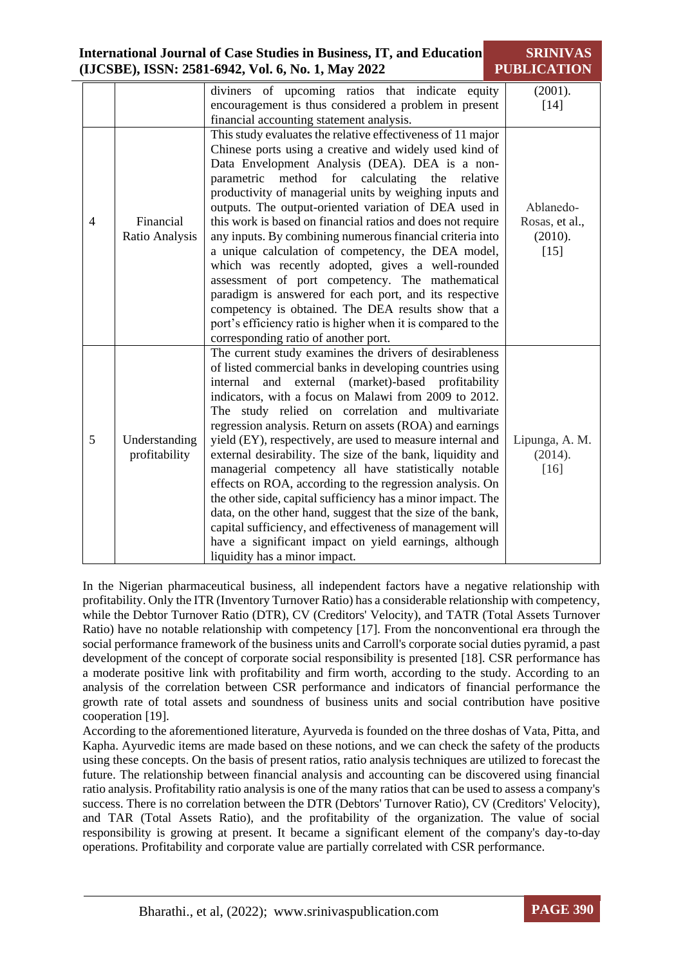| <b>International Journal of Case Studies in Business, IT, and Education</b> | <b>SRINIVAS</b>    |
|-----------------------------------------------------------------------------|--------------------|
| (IJCSBE), ISSN: 2581-6942, Vol. 6, No. 1, May 2022                          | <b>PUBLICATION</b> |

|                |                                | diviners of upcoming ratios that indicate<br>equity                                                                                                                                                                                                                                                                                                                                                                                                                                                                                                                                                                                                                                                                                                                                                                                                                                                                                   | (2001).                                          |
|----------------|--------------------------------|---------------------------------------------------------------------------------------------------------------------------------------------------------------------------------------------------------------------------------------------------------------------------------------------------------------------------------------------------------------------------------------------------------------------------------------------------------------------------------------------------------------------------------------------------------------------------------------------------------------------------------------------------------------------------------------------------------------------------------------------------------------------------------------------------------------------------------------------------------------------------------------------------------------------------------------|--------------------------------------------------|
|                |                                | encouragement is thus considered a problem in present                                                                                                                                                                                                                                                                                                                                                                                                                                                                                                                                                                                                                                                                                                                                                                                                                                                                                 | $[14]$                                           |
|                |                                | financial accounting statement analysis.                                                                                                                                                                                                                                                                                                                                                                                                                                                                                                                                                                                                                                                                                                                                                                                                                                                                                              |                                                  |
| $\overline{4}$ | Financial<br>Ratio Analysis    | This study evaluates the relative effectiveness of 11 major<br>Chinese ports using a creative and widely used kind of<br>Data Envelopment Analysis (DEA). DEA is a non-<br>method for calculating the<br>parametric<br>relative<br>productivity of managerial units by weighing inputs and<br>outputs. The output-oriented variation of DEA used in<br>this work is based on financial ratios and does not require<br>any inputs. By combining numerous financial criteria into<br>a unique calculation of competency, the DEA model,<br>which was recently adopted, gives a well-rounded<br>assessment of port competency. The mathematical<br>paradigm is answered for each port, and its respective<br>competency is obtained. The DEA results show that a<br>port's efficiency ratio is higher when it is compared to the                                                                                                         | Ablanedo-<br>Rosas, et al.,<br>(2010).<br>$[15]$ |
| 5              | Understanding<br>profitability | corresponding ratio of another port.<br>The current study examines the drivers of desirableness<br>of listed commercial banks in developing countries using<br>external (market)-based profitability<br>internal<br>and<br>indicators, with a focus on Malawi from 2009 to 2012.<br>The study relied on correlation and multivariate<br>regression analysis. Return on assets (ROA) and earnings<br>yield (EY), respectively, are used to measure internal and<br>external desirability. The size of the bank, liquidity and<br>managerial competency all have statistically notable<br>effects on ROA, according to the regression analysis. On<br>the other side, capital sufficiency has a minor impact. The<br>data, on the other hand, suggest that the size of the bank,<br>capital sufficiency, and effectiveness of management will<br>have a significant impact on yield earnings, although<br>liquidity has a minor impact. | Lipunga, A. M.<br>(2014).<br>$[16]$              |

In the Nigerian pharmaceutical business, all independent factors have a negative relationship with profitability. Only the ITR (Inventory Turnover Ratio) has a considerable relationship with competency, while the Debtor Turnover Ratio (DTR), CV (Creditors' Velocity), and TATR (Total Assets Turnover Ratio) have no notable relationship with competency [17]. From the nonconventional era through the social performance framework of the business units and Carroll's corporate social duties pyramid, a past development of the concept of corporate social responsibility is presented [18]. CSR performance has a moderate positive link with profitability and firm worth, according to the study. According to an analysis of the correlation between CSR performance and indicators of financial performance the growth rate of total assets and soundness of business units and social contribution have positive cooperation [19].

According to the aforementioned literature, Ayurveda is founded on the three doshas of Vata, Pitta, and Kapha. Ayurvedic items are made based on these notions, and we can check the safety of the products using these concepts. On the basis of present ratios, ratio analysis techniques are utilized to forecast the future. The relationship between financial analysis and accounting can be discovered using financial ratio analysis. Profitability ratio analysis is one of the many ratios that can be used to assess a company's success. There is no correlation between the DTR (Debtors' Turnover Ratio), CV (Creditors' Velocity), and TAR (Total Assets Ratio), and the profitability of the organization. The value of social responsibility is growing at present. It became a significant element of the company's day-to-day operations. Profitability and corporate value are partially correlated with CSR performance.

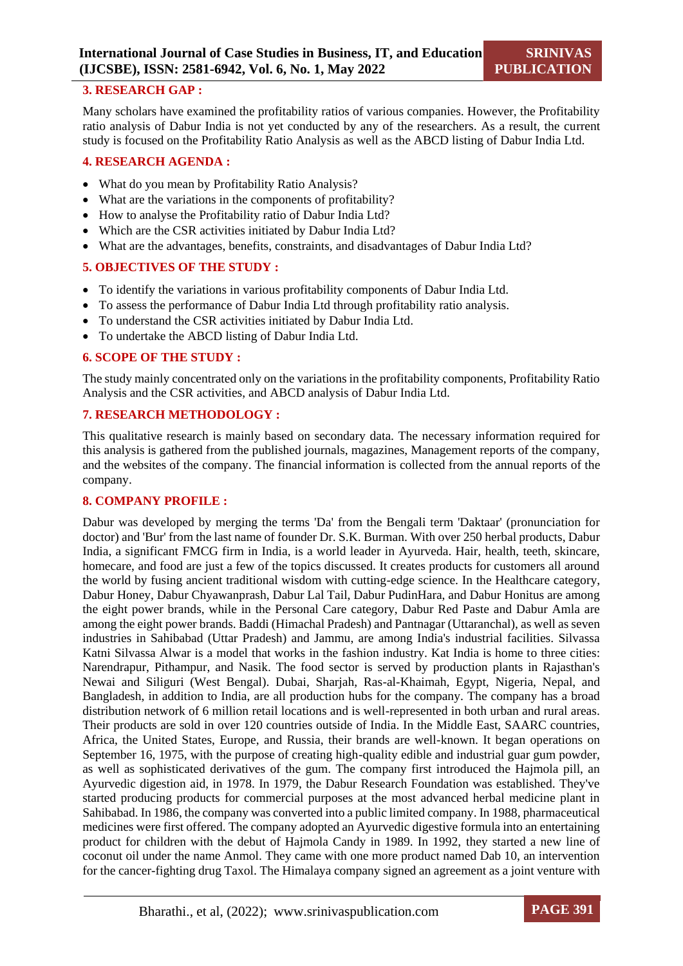#### **3. RESEARCH GAP :**

Many scholars have examined the profitability ratios of various companies. However, the Profitability ratio analysis of Dabur India is not yet conducted by any of the researchers. As a result, the current study is focused on the Profitability Ratio Analysis as well as the ABCD listing of Dabur India Ltd.

#### **4. RESEARCH AGENDA :**

- What do you mean by Profitability Ratio Analysis?
- What are the variations in the components of profitability?
- How to analyse the Profitability ratio of Dabur India Ltd?
- Which are the CSR activities initiated by Dabur India Ltd?
- What are the advantages, benefits, constraints, and disadvantages of Dabur India Ltd?

#### **5. OBJECTIVES OF THE STUDY :**

- To identify the variations in various profitability components of Dabur India Ltd.
- To assess the performance of Dabur India Ltd through profitability ratio analysis.
- To understand the CSR activities initiated by Dabur India Ltd.
- To undertake the ABCD listing of Dabur India Ltd.

#### **6. SCOPE OF THE STUDY :**

The study mainly concentrated only on the variations in the profitability components, Profitability Ratio Analysis and the CSR activities, and ABCD analysis of Dabur India Ltd.

#### **7. RESEARCH METHODOLOGY :**

This qualitative research is mainly based on secondary data. The necessary information required for this analysis is gathered from the published journals, magazines, Management reports of the company, and the websites of the company. The financial information is collected from the annual reports of the company.

#### **8. COMPANY PROFILE :**

Dabur was developed by merging the terms 'Da' from the Bengali term 'Daktaar' (pronunciation for doctor) and 'Bur' from the last name of founder Dr. S.K. Burman. With over 250 herbal products, Dabur India, a significant FMCG firm in India, is a world leader in Ayurveda. Hair, health, teeth, skincare, homecare, and food are just a few of the topics discussed. It creates products for customers all around the world by fusing ancient traditional wisdom with cutting-edge science. In the Healthcare category, Dabur Honey, Dabur Chyawanprash, Dabur Lal Tail, Dabur PudinHara, and Dabur Honitus are among the eight power brands, while in the Personal Care category, Dabur Red Paste and Dabur Amla are among the eight power brands. Baddi (Himachal Pradesh) and Pantnagar (Uttaranchal), as well as seven industries in Sahibabad (Uttar Pradesh) and Jammu, are among India's industrial facilities. Silvassa Katni Silvassa Alwar is a model that works in the fashion industry. Kat India is home to three cities: Narendrapur, Pithampur, and Nasik. The food sector is served by production plants in Rajasthan's Newai and Siliguri (West Bengal). Dubai, Sharjah, Ras-al-Khaimah, Egypt, Nigeria, Nepal, and Bangladesh, in addition to India, are all production hubs for the company. The company has a broad distribution network of 6 million retail locations and is well-represented in both urban and rural areas. Their products are sold in over 120 countries outside of India. In the Middle East, SAARC countries, Africa, the United States, Europe, and Russia, their brands are well-known. It began operations on September 16, 1975, with the purpose of creating high-quality edible and industrial guar gum powder, as well as sophisticated derivatives of the gum. The company first introduced the Hajmola pill, an Ayurvedic digestion aid, in 1978. In 1979, the Dabur Research Foundation was established. They've started producing products for commercial purposes at the most advanced herbal medicine plant in Sahibabad. In 1986, the company was converted into a public limited company. In 1988, pharmaceutical medicines were first offered. The company adopted an Ayurvedic digestive formula into an entertaining product for children with the debut of Hajmola Candy in 1989. In 1992, they started a new line of coconut oil under the name Anmol. They came with one more product named Dab 10, an intervention for the cancer-fighting drug Taxol. The Himalaya company signed an agreement as a joint venture with

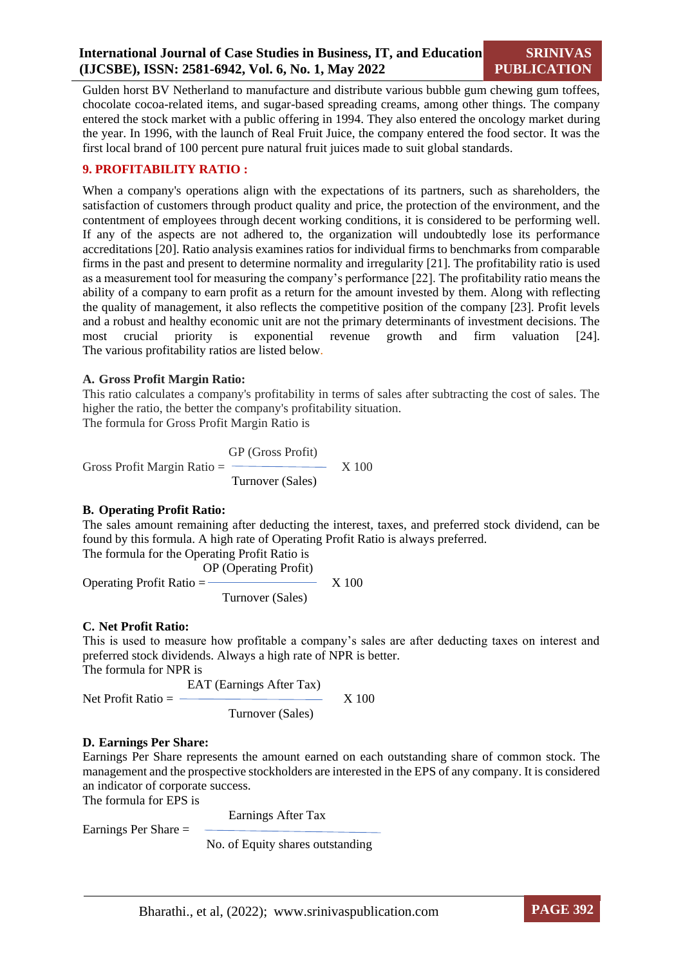Gulden horst BV Netherland to manufacture and distribute various bubble gum chewing gum toffees, chocolate cocoa-related items, and sugar-based spreading creams, among other things. The company entered the stock market with a public offering in 1994. They also entered the oncology market during the year. In 1996, with the launch of Real Fruit Juice, the company entered the food sector. It was the first local brand of 100 percent pure natural fruit juices made to suit global standards.

#### **9. PROFITABILITY RATIO :**

When a company's operations align with the expectations of its partners, such as shareholders, the satisfaction of customers through product quality and price, the protection of the environment, and the contentment of employees through decent working conditions, it is considered to be performing well. If any of the aspects are not adhered to, the organization will undoubtedly lose its performance accreditations [20]. Ratio analysis examines ratios for individual firms to benchmarks from comparable firms in the past and present to determine normality and irregularity [21]. The profitability ratio is used as a measurement tool for measuring the company's performance [22]. The profitability ratio means the ability of a company to earn profit as a return for the amount invested by them. Along with reflecting the quality of management, it also reflects the competitive position of the company [23]. Profit levels and a robust and healthy economic unit are not the primary determinants of investment decisions. The most crucial priority is exponential revenue growth and firm valuation [24]. The various profitability ratios are listed below.

#### **A. Gross Profit Margin Ratio:**

This ratio calculates a company's profitability in terms of sales after subtracting the cost of sales. The higher the ratio, the better the company's profitability situation. The formula for Gross Profit Margin Ratio is

 GP (Gross Profit) Gross Profit Margin Ratio  $=$   $\frac{\ }{}$  X 100 Turnover (Sales)

#### **B. Operating Profit Ratio:**

The sales amount remaining after deducting the interest, taxes, and preferred stock dividend, can be found by this formula. A high rate of Operating Profit Ratio is always preferred.

The formula for the Operating Profit Ratio is

 OP (Operating Profit) Operating Profit Ratio  $=$   $\frac{1}{2}$  X 100 Turnover (Sales)

#### **C. Net Profit Ratio:**

This is used to measure how profitable a company's sales are after deducting taxes on interest and preferred stock dividends. Always a high rate of NPR is better.

The formula for NPR is

$$
Net Profit Ratio = \frac{EAT (Earnings After Tax)}{Turnover (Sales)}
$$
X 100

#### **D. Earnings Per Share:**

Earnings Per Share represents the amount earned on each outstanding share of common stock. The management and the prospective stockholders are interested in the EPS of any company. It is considered an indicator of corporate success.

The formula for EPS is

Earnings After Tax

Earnings Per Share =

No. of Equity shares outstanding

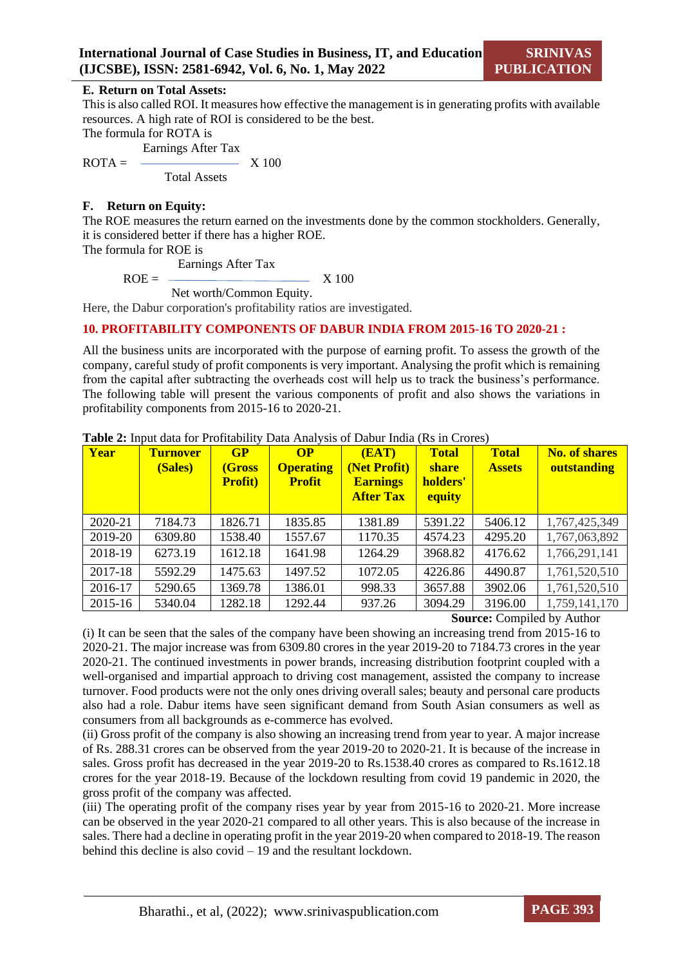#### **E. Return on Total Assets:**

This is also called ROI. It measures how effective the management is in generating profits with available resources. A high rate of ROI is considered to be the best.

The formula for ROTA is

Earnings After Tax

 $ROTA = \qquad \qquad \boxed{X\,100}$ Total Assets

#### **F. Return on Equity:**

The ROE measures the return earned on the investments done by the common stockholders. Generally, it is considered better if there has a higher ROE.

The formula for ROE is

Earnings After Tax

 $ROE =$  X 100

Net worth/Common Equity.

Here, the Dabur corporation's profitability ratios are investigated.

#### **10. PROFITABILITY COMPONENTS OF DABUR INDIA FROM 2015-16 TO 2020-21 :**

All the business units are incorporated with the purpose of earning profit. To assess the growth of the company, careful study of profit components is very important. Analysing the profit which is remaining from the capital after subtracting the overheads cost will help us to track the business's performance. The following table will present the various components of profit and also shows the variations in profitability components from 2015-16 to 2020-21.

| Year    | <b>Turnover</b><br>(Sales) | GP<br>(Gross<br><b>Profit)</b> | $\Omega$<br><b>Operating</b><br><b>Profit</b> | (EAT)<br>(Net Profit)<br><b>Earnings</b><br><b>After Tax</b> | <b>Total</b><br><b>share</b><br>holders'<br>equity | <b>Total</b><br><b>Assets</b> | <b>No. of shares</b><br>outstanding |
|---------|----------------------------|--------------------------------|-----------------------------------------------|--------------------------------------------------------------|----------------------------------------------------|-------------------------------|-------------------------------------|
| 2020-21 | 7184.73                    | 1826.71                        | 1835.85                                       | 1381.89                                                      | 5391.22                                            | 5406.12                       | 1,767,425,349                       |
| 2019-20 | 6309.80                    | 1538.40                        | 1557.67                                       | 1170.35                                                      | 4574.23                                            | 4295.20                       | 1,767,063,892                       |
| 2018-19 | 6273.19                    | 1612.18                        | 1641.98                                       | 1264.29                                                      | 3968.82                                            | 4176.62                       | 1,766,291,141                       |
| 2017-18 | 5592.29                    | 1475.63                        | 1497.52                                       | 1072.05                                                      | 4226.86                                            | 4490.87                       | 1,761,520,510                       |
| 2016-17 | 5290.65                    | 1369.78                        | 1386.01                                       | 998.33                                                       | 3657.88                                            | 3902.06                       | 1,761,520,510                       |
| 2015-16 | 5340.04                    | 1282.18                        | 1292.44                                       | 937.26                                                       | 3094.29                                            | 3196.00                       | 1,759,141,170                       |

**Table 2:** Input data for Profitability Data Analysis of Dabur India (Rs in Crores)

**Source:** Compiled by Author

(i) It can be seen that the sales of the company have been showing an increasing trend from 2015-16 to 2020-21. The major increase was from 6309.80 crores in the year 2019-20 to 7184.73 crores in the year 2020-21. The continued investments in power brands, increasing distribution footprint coupled with a well-organised and impartial approach to driving cost management, assisted the company to increase turnover. Food products were not the only ones driving overall sales; beauty and personal care products also had a role. Dabur items have seen significant demand from South Asian consumers as well as consumers from all backgrounds as e-commerce has evolved.

(ii) Gross profit of the company is also showing an increasing trend from year to year. A major increase of Rs. 288.31 crores can be observed from the year 2019-20 to 2020-21. It is because of the increase in sales. Gross profit has decreased in the year 2019-20 to Rs.1538.40 crores as compared to Rs.1612.18 crores for the year 2018-19. Because of the lockdown resulting from covid 19 pandemic in 2020, the gross profit of the company was affected.

(iii) The operating profit of the company rises year by year from 2015-16 to 2020-21. More increase can be observed in the year 2020-21 compared to all other years. This is also because of the increase in sales. There had a decline in operating profit in the year 2019-20 when compared to 2018-19. The reason behind this decline is also covid  $-19$  and the resultant lockdown.

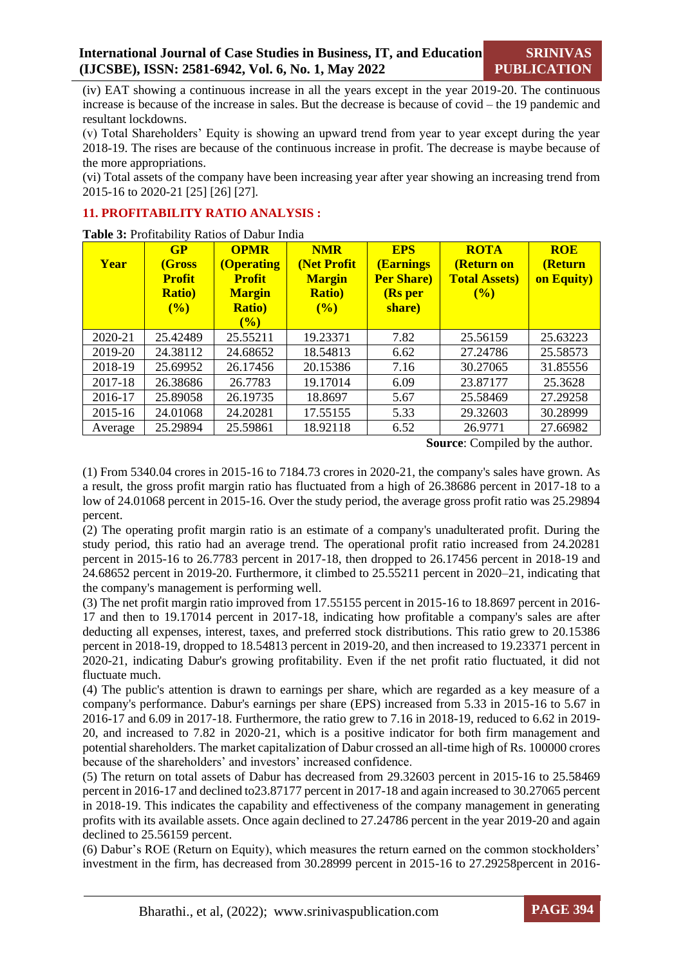(iv) EAT showing a continuous increase in all the years except in the year 2019-20. The continuous increase is because of the increase in sales. But the decrease is because of covid – the 19 pandemic and resultant lockdowns.

(v) Total Shareholders' Equity is showing an upward trend from year to year except during the year 2018-19. The rises are because of the continuous increase in profit. The decrease is maybe because of the more appropriations.

(vi) Total assets of the company have been increasing year after year showing an increasing trend from 2015-16 to 2020-21 [25] [26] [27].

#### **11. PROFITABILITY RATIO ANALYSIS :**

**Table 3:** Profitability Ratios of Dabur India

| Year    | GP<br>(Gross<br><b>Profit</b><br><b>Ratio</b> )<br>(%) | <b>OPMR</b><br>(Operating<br><b>Profit</b><br><b>Margin</b><br><b>Ratio</b> )<br>(%) | <b>NMR</b><br>(Net Profit<br><b>Margin</b><br><b>Ratio)</b><br>(%) | <b>EPS</b><br><b>(Earnings)</b><br><b>Per Share</b> )<br>(Rs per<br>share) | <b>ROTA</b><br>(Return on<br><b>Total Assets)</b><br>(%) | <b>ROE</b><br>(Return<br>on Equity) |
|---------|--------------------------------------------------------|--------------------------------------------------------------------------------------|--------------------------------------------------------------------|----------------------------------------------------------------------------|----------------------------------------------------------|-------------------------------------|
| 2020-21 | 25.42489                                               | 25.55211                                                                             | 19.23371                                                           | 7.82                                                                       | 25.56159                                                 | 25.63223                            |
| 2019-20 | 24.38112                                               | 24.68652                                                                             | 18.54813                                                           | 6.62                                                                       | 27.24786                                                 | 25.58573                            |
| 2018-19 | 25.69952                                               | 26.17456                                                                             | 20.15386                                                           | 7.16                                                                       | 30.27065                                                 | 31.85556                            |
| 2017-18 | 26.38686                                               | 26.7783                                                                              | 19.17014                                                           | 6.09                                                                       | 23.87177                                                 | 25.3628                             |
| 2016-17 | 25.89058                                               | 26.19735                                                                             | 18.8697                                                            | 5.67                                                                       | 25.58469                                                 | 27.29258                            |
| 2015-16 | 24.01068                                               | 24.20281                                                                             | 17.55155                                                           | 5.33                                                                       | 29.32603                                                 | 30.28999                            |
| Average | 25.29894                                               | 25.59861                                                                             | 18.92118                                                           | 6.52                                                                       | 26.9771                                                  | 27.66982                            |

 **Source**: Compiled by the author.

(1) From 5340.04 crores in 2015-16 to 7184.73 crores in 2020-21, the company's sales have grown. As a result, the gross profit margin ratio has fluctuated from a high of 26.38686 percent in 2017-18 to a low of 24.01068 percent in 2015-16. Over the study period, the average gross profit ratio was 25.29894 percent.

(2) The operating profit margin ratio is an estimate of a company's unadulterated profit. During the study period, this ratio had an average trend. The operational profit ratio increased from 24.20281 percent in 2015-16 to 26.7783 percent in 2017-18, then dropped to 26.17456 percent in 2018-19 and 24.68652 percent in 2019-20. Furthermore, it climbed to 25.55211 percent in 2020–21, indicating that the company's management is performing well.

(3) The net profit margin ratio improved from 17.55155 percent in 2015-16 to 18.8697 percent in 2016- 17 and then to 19.17014 percent in 2017-18, indicating how profitable a company's sales are after deducting all expenses, interest, taxes, and preferred stock distributions. This ratio grew to 20.15386 percent in 2018-19, dropped to 18.54813 percent in 2019-20, and then increased to 19.23371 percent in 2020-21, indicating Dabur's growing profitability. Even if the net profit ratio fluctuated, it did not fluctuate much.

(4) The public's attention is drawn to earnings per share, which are regarded as a key measure of a company's performance. Dabur's earnings per share (EPS) increased from 5.33 in 2015-16 to 5.67 in 2016-17 and 6.09 in 2017-18. Furthermore, the ratio grew to 7.16 in 2018-19, reduced to 6.62 in 2019- 20, and increased to 7.82 in 2020-21, which is a positive indicator for both firm management and potential shareholders. The market capitalization of Dabur crossed an all-time high of Rs. 100000 crores because of the shareholders' and investors' increased confidence.

(5) The return on total assets of Dabur has decreased from 29.32603 percent in 2015-16 to 25.58469 percent in 2016-17 and declined to23.87177 percent in 2017-18 and again increased to 30.27065 percent in 2018-19. This indicates the capability and effectiveness of the company management in generating profits with its available assets. Once again declined to 27.24786 percent in the year 2019-20 and again declined to 25.56159 percent.

(6) Dabur's ROE (Return on Equity), which measures the return earned on the common stockholders' investment in the firm, has decreased from 30.28999 percent in 2015-16 to 27.29258percent in 2016-

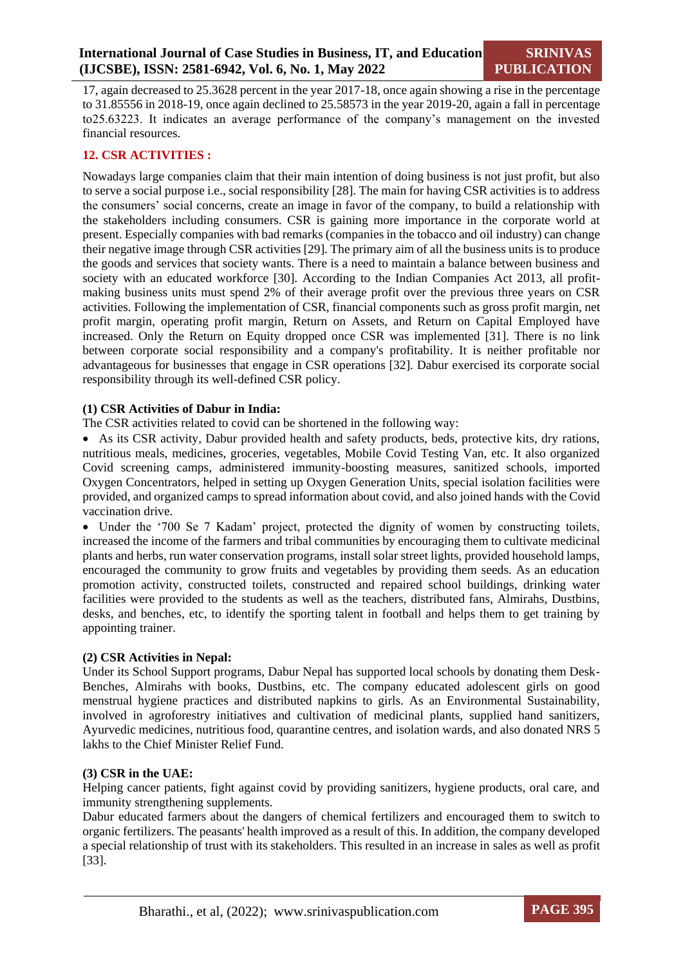17, again decreased to 25.3628 percent in the year 2017-18, once again showing a rise in the percentage to 31.85556 in 2018-19, once again declined to 25.58573 in the year 2019-20, again a fall in percentage to25.63223. It indicates an average performance of the company's management on the invested financial resources.

#### **12. CSR ACTIVITIES :**

Nowadays large companies claim that their main intention of doing business is not just profit, but also to serve a social purpose i.e., social responsibility [28]. The main for having CSR activities is to address the consumers' social concerns, create an image in favor of the company, to build a relationship with the stakeholders including consumers. CSR is gaining more importance in the corporate world at present. Especially companies with bad remarks (companies in the tobacco and oil industry) can change their negative image through CSR activities [29]. The primary aim of all the business units is to produce the goods and services that society wants. There is a need to maintain a balance between business and society with an educated workforce [30]. According to the Indian Companies Act 2013, all profitmaking business units must spend 2% of their average profit over the previous three years on CSR activities. Following the implementation of CSR, financial components such as gross profit margin, net profit margin, operating profit margin, Return on Assets, and Return on Capital Employed have increased. Only the Return on Equity dropped once CSR was implemented [31]. There is no link between corporate social responsibility and a company's profitability. It is neither profitable nor advantageous for businesses that engage in CSR operations [32]. Dabur exercised its corporate social responsibility through its well-defined CSR policy.

#### **(1) CSR Activities of Dabur in India:**

The CSR activities related to covid can be shortened in the following way:

 As its CSR activity, Dabur provided health and safety products, beds, protective kits, dry rations, nutritious meals, medicines, groceries, vegetables, Mobile Covid Testing Van, etc. It also organized Covid screening camps, administered immunity-boosting measures, sanitized schools, imported Oxygen Concentrators, helped in setting up Oxygen Generation Units, special isolation facilities were provided, and organized camps to spread information about covid, and also joined hands with the Covid vaccination drive.

• Under the '700 Se 7 Kadam' project, protected the dignity of women by constructing toilets, increased the income of the farmers and tribal communities by encouraging them to cultivate medicinal plants and herbs, run water conservation programs, install solar street lights, provided household lamps, encouraged the community to grow fruits and vegetables by providing them seeds. As an education promotion activity, constructed toilets, constructed and repaired school buildings, drinking water facilities were provided to the students as well as the teachers, distributed fans, Almirahs, Dustbins, desks, and benches, etc, to identify the sporting talent in football and helps them to get training by appointing trainer.

#### **(2) CSR Activities in Nepal:**

Under its School Support programs, Dabur Nepal has supported local schools by donating them Desk-Benches, Almirahs with books, Dustbins, etc. The company educated adolescent girls on good menstrual hygiene practices and distributed napkins to girls. As an Environmental Sustainability, involved in agroforestry initiatives and cultivation of medicinal plants, supplied hand sanitizers, Ayurvedic medicines, nutritious food, quarantine centres, and isolation wards, and also donated NRS 5 lakhs to the Chief Minister Relief Fund.

#### **(3) CSR in the UAE:**

Helping cancer patients, fight against covid by providing sanitizers, hygiene products, oral care, and immunity strengthening supplements.

Dabur educated farmers about the dangers of chemical fertilizers and encouraged them to switch to organic fertilizers. The peasants' health improved as a result of this. In addition, the company developed a special relationship of trust with its stakeholders. This resulted in an increase in sales as well as profit [33].

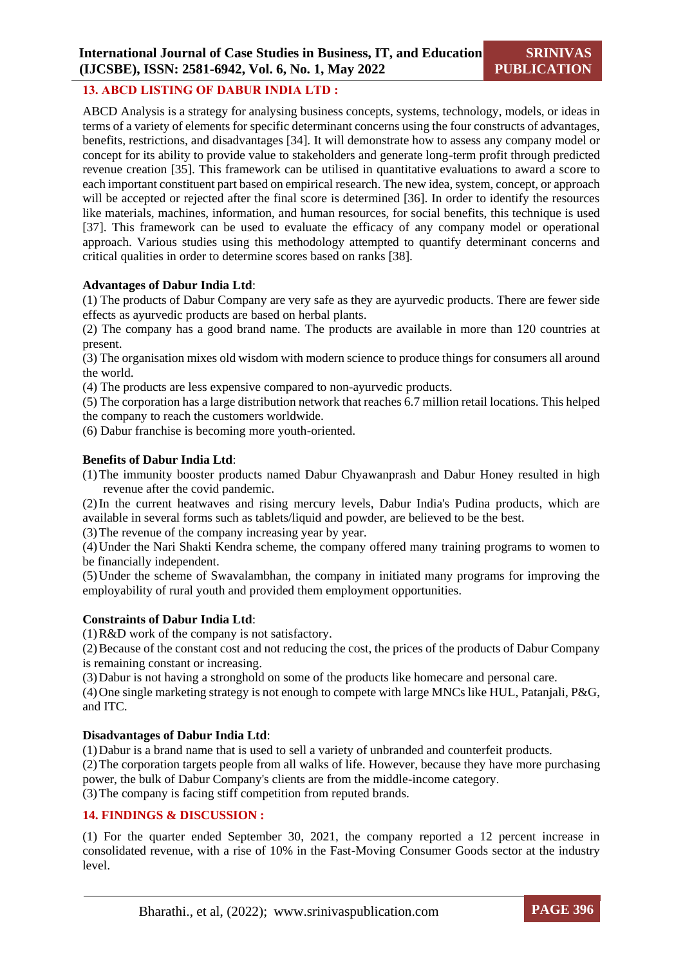#### **13. ABCD LISTING OF DABUR INDIA LTD :**

ABCD Analysis is a strategy for analysing business concepts, systems, technology, models, or ideas in terms of a variety of elements for specific determinant concerns using the four constructs of advantages, benefits, restrictions, and disadvantages [34]. It will demonstrate how to assess any company model or concept for its ability to provide value to stakeholders and generate long-term profit through predicted revenue creation [35]. This framework can be utilised in quantitative evaluations to award a score to each important constituent part based on empirical research. The new idea, system, concept, or approach will be accepted or rejected after the final score is determined [36]. In order to identify the resources like materials, machines, information, and human resources, for social benefits, this technique is used [37]. This framework can be used to evaluate the efficacy of any company model or operational approach. Various studies using this methodology attempted to quantify determinant concerns and critical qualities in order to determine scores based on ranks [38].

#### **Advantages of Dabur India Ltd**:

(1) The products of Dabur Company are very safe as they are ayurvedic products. There are fewer side effects as ayurvedic products are based on herbal plants.

(2) The company has a good brand name. The products are available in more than 120 countries at present.

(3) The organisation mixes old wisdom with modern science to produce things for consumers all around the world.

(4) The products are less expensive compared to non-ayurvedic products.

(5) The corporation has a large distribution network that reaches 6.7 million retail locations. This helped the company to reach the customers worldwide.

(6) Dabur franchise is becoming more youth-oriented.

#### **Benefits of Dabur India Ltd**:

(1)The immunity booster products named Dabur Chyawanprash and Dabur Honey resulted in high revenue after the covid pandemic.

(2)In the current heatwaves and rising mercury levels, Dabur India's Pudina products, which are available in several forms such as tablets/liquid and powder, are believed to be the best.

(3)The revenue of the company increasing year by year.

(4)Under the Nari Shakti Kendra scheme, the company offered many training programs to women to be financially independent.

(5)Under the scheme of Swavalambhan, the company in initiated many programs for improving the employability of rural youth and provided them employment opportunities.

#### **Constraints of Dabur India Ltd**:

(1)R&D work of the company is not satisfactory.

(2)Because of the constant cost and not reducing the cost, the prices of the products of Dabur Company is remaining constant or increasing.

(3)Dabur is not having a stronghold on some of the products like homecare and personal care.

(4)One single marketing strategy is not enough to compete with large MNCs like HUL, Patanjali, P&G, and ITC.

#### **Disadvantages of Dabur India Ltd**:

(1)Dabur is a brand name that is used to sell a variety of unbranded and counterfeit products.

(2)The corporation targets people from all walks of life. However, because they have more purchasing power, the bulk of Dabur Company's clients are from the middle-income category.

(3)The company is facing stiff competition from reputed brands.

### **14. FINDINGS & DISCUSSION :**

(1) For the quarter ended September 30, 2021, the company reported a 12 percent increase in consolidated revenue, with a rise of 10% in the Fast-Moving Consumer Goods sector at the industry level.

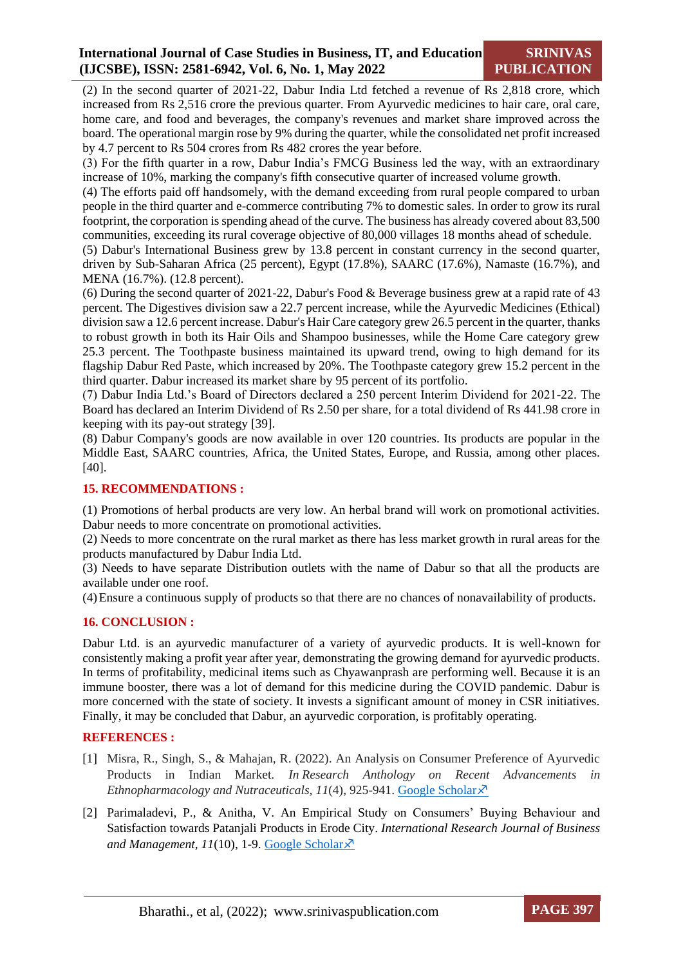# **International Journal of Case Studies in Business, IT, and Education (IJCSBE), ISSN: 2581-6942, Vol. 6, No. 1, May 2022**

(2) In the second quarter of 2021-22, Dabur India Ltd fetched a revenue of Rs 2,818 crore, which increased from Rs 2,516 crore the previous quarter. From Ayurvedic medicines to hair care, oral care, home care, and food and beverages, the company's revenues and market share improved across the board. The operational margin rose by 9% during the quarter, while the consolidated net profit increased by 4.7 percent to Rs 504 crores from Rs 482 crores the year before.

(3) For the fifth quarter in a row, Dabur India's FMCG Business led the way, with an extraordinary increase of 10%, marking the company's fifth consecutive quarter of increased volume growth.

(4) The efforts paid off handsomely, with the demand exceeding from rural people compared to urban people in the third quarter and e-commerce contributing 7% to domestic sales. In order to grow its rural footprint, the corporation is spending ahead of the curve. The business has already covered about 83,500 communities, exceeding its rural coverage objective of 80,000 villages 18 months ahead of schedule.

(5) Dabur's International Business grew by 13.8 percent in constant currency in the second quarter, driven by Sub-Saharan Africa (25 percent), Egypt (17.8%), SAARC (17.6%), Namaste (16.7%), and MENA (16.7%). (12.8 percent).

(6) During the second quarter of 2021-22, Dabur's Food & Beverage business grew at a rapid rate of 43 percent. The Digestives division saw a 22.7 percent increase, while the Ayurvedic Medicines (Ethical) division saw a 12.6 percent increase. Dabur's Hair Care category grew 26.5 percent in the quarter, thanks to robust growth in both its Hair Oils and Shampoo businesses, while the Home Care category grew 25.3 percent. The Toothpaste business maintained its upward trend, owing to high demand for its flagship Dabur Red Paste, which increased by 20%. The Toothpaste category grew 15.2 percent in the third quarter. Dabur increased its market share by 95 percent of its portfolio.

(7) Dabur India Ltd.'s Board of Directors declared a 250 percent Interim Dividend for 2021-22. The Board has declared an Interim Dividend of Rs 2.50 per share, for a total dividend of Rs 441.98 crore in keeping with its pay-out strategy [39].

(8) Dabur Company's goods are now available in over 120 countries. Its products are popular in the Middle East, SAARC countries, Africa, the United States, Europe, and Russia, among other places. [40].

#### **15. RECOMMENDATIONS :**

(1) Promotions of herbal products are very low. An herbal brand will work on promotional activities. Dabur needs to more concentrate on promotional activities.

(2) Needs to more concentrate on the rural market as there has less market growth in rural areas for the products manufactured by Dabur India Ltd.

(3) Needs to have separate Distribution outlets with the name of Dabur so that all the products are available under one roof.

(4)Ensure a continuous supply of products so that there are no chances of nonavailability of products.

# **16. CONCLUSION :**

Dabur Ltd. is an ayurvedic manufacturer of a variety of ayurvedic products. It is well-known for consistently making a profit year after year, demonstrating the growing demand for ayurvedic products. In terms of profitability, medicinal items such as Chyawanprash are performing well. Because it is an immune booster, there was a lot of demand for this medicine during the COVID pandemic. Dabur is more concerned with the state of society. It invests a significant amount of money in CSR initiatives. Finally, it may be concluded that Dabur, an ayurvedic corporation, is profitably operating.

#### **REFERENCES :**

- [1] Misra, R., Singh, S., & Mahajan, R. (2022). An Analysis on Consumer Preference of Ayurvedic Products in Indian Market. *In Research Anthology on Recent Advancements in Ethnopharmacology and Nutraceuticals,*  $11(4)$ *, 925-941. [Google Scholar](https://www.igi-global.com/chapter/an-analysis-on-consumer-preference-of-ayurvedic-products-in-indian-market/289518)* $\lambda$ *<sup>7</sup>*
- [2] Parimaladevi, P., & Anitha, V. An Empirical Study on Consumers' Buying Behaviour and Satisfaction towards Patanjali Products in Erode City. *International Research Journal of Business and Management, 11*(10), 1-9. [Google Scholar](https://scholar.google.com/scholar?hl=en&as_sdt=0%2C5&q=Parimaladevi%2C+P.%2C+%26+Anitha%2C+V.+An+Empirical+Study+on+Consumers%E2%80%99+Buying+Behaviour+and+Satisfaction+towards+Patanjali+Products+in+Erode+City&btnG=)

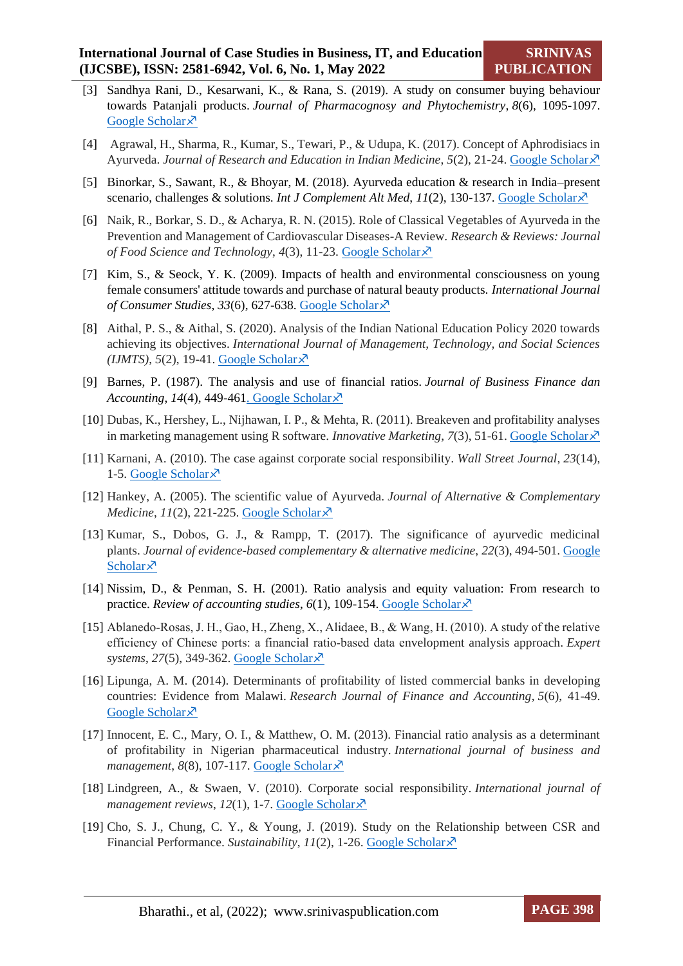- [3] Sandhya Rani, D., Kesarwani, K., & Rana, S. (2019). A study on consumer buying behaviour towards Patanjali products. *Journal of Pharmacognosy and Phytochemistry*, *8*(6), 1095-1097. [Google Scholar](https://scholar.google.com/scholar?hl=en&as_sdt=0%2C5&q=Sandhya+Rani%2C+D.%2C+Kesarwani%2C+K.%2C+%26+Rana%2C+S.+%282019%29.+A+study+on+consumer+buying+behaviour+towards+Patanjali+products.+Journal+of+Pharmacognosy+and+Phytochemistry%2C+8%286%29%2C+1095-1097.+&btnG=)s
- [4] Agrawal, H., Sharma, R., Kumar, S., Tewari, P., & Udupa, K. (2017). Concept of Aphrodisiacs in Ayurveda. *Journal of Research and Education in Indian Medicine*, *5*(2), 21-24. [Google Scholar](http://www.jreim-ayushjournal.com/?mno=193614)
- [5] Binorkar, S., Sawant, R., & Bhoyar, M. (2018). Ayurveda education & research in India–present scenario, challenges & solutions. *Int J Complement Alt Med*, 11(2), 130-137. [Google Scholar](https://scholar.google.com/scholar?hl=en&as_sdt=0%2C5&q=Binorkar%2C+S.%2C+Sawant%2C+R.%2C+%26+Bhoyar%2C+M.+%282018%29.+Ayurveda+education+%26+research+in+India%E2%80%93present+scenario%2C+challenges+%26+solutions.+Int+J+Complement+Alt+Med%2C+11%282%29%2C+130-137&btnG=)  $\bar{x}$
- [6] Naik, R., Borkar, S. D., & Acharya, R. N. (2015). Role of Classical Vegetables of Ayurveda in the Prevention and Management of Cardiovascular Diseases-A Review. *Research & Reviews: Journal of Food Science and Technology, 4(3), 11-23. [Google Scholar](https://scholar.google.com/scholar?hl=en&as_sdt=0%2C5&q=Naik%2C+R.%2C+Borkar%2C+S.+D.%2C+%26+Acharya%2C+R.+N.+%282015%29.+Role+of+Classical+Vegetables+of+Ayurveda+in+the+Prevention+and+Management+of+Cardiovascular+Diseases-A+Review.+Research+%26+Reviews%3A+Journal+of+Food+Science+and+Technology%2C+4%283%29%2C+11-23&btnG=)* $\times$ *<sup>7</sup>*
- [7] Kim, S., & Seock, Y. K. (2009). Impacts of health and environmental consciousness on young female consumers' attitude towards and purchase of natural beauty products. *International Journal of Consumer Studies*, *33*(6), 627-638. [Google Scholar](https://onlinelibrary.wiley.com/doi/abs/10.1111/j.1470-6431.2009.00817.x)
- [8] Aithal, P. S., & Aithal, S. (2020). Analysis of the Indian National Education Policy 2020 towards achieving its objectives. *International Journal of Management, Technology, and Social Sciences*   $(IJMTS), 5(2), 19-41.$  [Google Scholar](https://papers.ssrn.com/sol3/papers.cfm?abstract_id=3676074) $\lambda$ <sup>7</sup>
- [9] Barnes, P. (1987). The analysis and use of financial ratios. *Journal of Business Finance dan Accounting*,  $14(4)$ , 449-46[1. Google Scholar](https://scholar.google.com/scholar?hl=en&as_sdt=0%2C5&q=Barnes%2C+P.+%281987%29.+The+analysis+and+use+of+financial+ratios.+Journal+of+Business+Finance+dan+Accounting%2C+14%284%29%2C+449-461.+&btnG=) $\overline{\chi}$
- [10] Dubas, K., Hershey, L., Nijhawan, I. P., & Mehta, R. (2011). Breakeven and profitability analyses in marketing management using R software. *Innovative Marketing*, 7(3), 51-61[. Google Scholar](https://papers.ssrn.com/sol3/papers.cfm?abstract_id=1907865)  $\times$
- [11] Karnani, A. (2010). The case against corporate social responsibility. *Wall Street Journal*, *23*(14), 1-5. [Google Scholar](https://scholar.google.com/scholar?hl=en&as_sdt=0%2C5&q=Karnani%2C+A.+%282010%29.+The+case+against+corporate+social+responsibility.+Wall+Street+Journal%2C+23%2814%29%2C+1-5&btnG=) $\lambda$
- [12] Hankey, A. (2005). The scientific value of Ayurveda. *Journal of Alternative & Complementary Medicine*, *11*(2), 221-225. [Google Scholar](https://www.liebertpub.com/doi/abs/10.1089/acm.2005.11.221?journalCode=acm)  $\lambda$ <sup>7</sup>
- [13] Kumar, S., Dobos, G. J., & Rampp, T. (2017). The significance of ayurvedic medicinal plants. *Journal of evidence-based complementary & alternative medicine*, *22*(3), 494-501. [Google](https://journals.sagepub.com/doi/full/10.1177/2156587216671392)  [Scholar](https://journals.sagepub.com/doi/full/10.1177/2156587216671392) $\lambda$
- [14] Nissim, D., & Penman, S. H. (2001). Ratio analysis and equity valuation: From research to practice. *Review of accounting studies*,  $6(1)$ , 109-154. [Google Scholar](https://link.springer.com/article/10.1023/A:1011338221623) $\chi^2$
- [15] Ablanedo‐Rosas, J. H., Gao, H., Zheng, X., Alidaee, B., & Wang, H. (2010). A study of the relative efficiency of Chinese ports: a financial ratio‐based data envelopment analysis approach. *Expert systems*, *27*(5), 349-362. [Google Scholar](https://onlinelibrary.wiley.com/doi/abs/10.1111/j.1468-0394.2010.00552.x)
- [16] Lipunga, A. M. (2014). Determinants of profitability of listed commercial banks in developing countries: Evidence from Malawi. *Research Journal of Finance and Accounting*, *5*(6), 41-49. [Google Scholar](https://scholar.google.com/scholar?hl=en&as_sdt=0%2C5&q=Lipunga%2C+A.+M.+%282014%29.+Determinants+of+profitability+of+listed+commercial+banks+in+developing+countries%3A+Evidence+from+Malawi.+Research+Journal+of+Finance+and+Accounting%2C+5%286%29%2C+41-49&btnG=) ×
- [17] Innocent, E. C., Mary, O. I., & Matthew, O. M. (2013). Financial ratio analysis as a determinant of profitability in Nigerian pharmaceutical industry. *International journal of business and management*,  $8(8)$ , 107-117. [Google Scholar](https://scholar.google.com/scholar?hl=en&as_sdt=0%2C5&q=Innocent%2C+E.+C.%2C+Mary%2C+O.+I.%2C+%26+Matthew%2C+O.+M.+%282013%29.+Financial+ratio+analysis+as+a+determinant+of+profitability+in+Nigerian+pharmaceutical+industry.+International+journal+of+business+and+management%2C+8%288%29%2C+107-117&btnG=) $\lambda$ <sup>7</sup>
- [18] Lindgreen, A., & Swaen, V. (2010). Corporate social responsibility. *International journal of management reviews, 12(1), 1-7. [Google Scholar](https://onlinelibrary.wiley.com/doi/abs/10.1111/j.1468-2370.2009.00277.x)* $\lambda$
- [19] Cho, S. J., Chung, C. Y., & Young, J. (2019). Study on the Relationship between CSR and Financial Performance. *Sustainability*, *11*(2), 1-26. [Google Scholar](https://www.mdpi.com/2071-1050/11/2/343)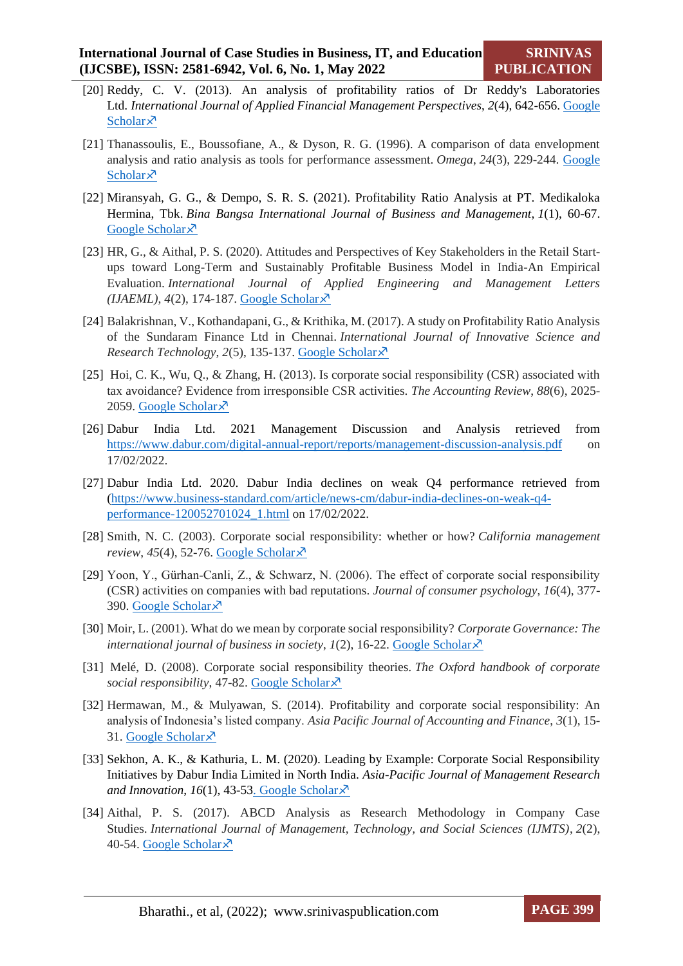- [20] Reddy, C. V. (2013). An analysis of profitability ratios of Dr Reddy's Laboratories Ltd. *International Journal of Applied Financial Management Perspectives*, *2*(4), 642-656. [Google](https://papers.ssrn.com/sol3/papers.cfm?abstract_id=3464351)  [Scholar](https://papers.ssrn.com/sol3/papers.cfm?abstract_id=3464351) $\lambda$
- [21] Thanassoulis, E., Boussofiane, A., & Dyson, R. G. (1996). A comparison of data envelopment analysis and ratio analysis as tools for performance assessment. *Omega*, *24*(3), 229-244. [Google](https://www.sciencedirect.com/science/article/abs/pii/0305048395000607)  [Scholar](https://www.sciencedirect.com/science/article/abs/pii/0305048395000607) $\lambda$
- [22] Miransyah, G. G., & Dempo, S. R. S. (2021). Profitability Ratio Analysis at PT. Medikaloka Hermina, Tbk. *Bina Bangsa International Journal of Business and Management*, *1*(1), 60-67. [Google Scholar](https://bbijbm.lppmbinabangsa.id/index.php/home/article/view/7) ×
- [23] HR, G., & Aithal, P. S. (2020). Attitudes and Perspectives of Key Stakeholders in the Retail Startups toward Long-Term and Sustainably Profitable Business Model in India-An Empirical Evaluation. *International Journal of Applied Engineering and Management Letters (IJAEML)*, *4*(2), 174-187. [Google Scholar](https://papers.ssrn.com/sol3/papers.cfm?abstract_id=3714771)
- [24] Balakrishnan, V., Kothandapani, G., & Krithika, M. (2017). A study on Profitability Ratio Analysis of the Sundaram Finance Ltd in Chennai. *International Journal of Innovative Science and Research Technology*, *2*(5), 135-137. [Google Scholar](https://scholar.google.com/scholar?hl=en&as_sdt=0%2C5&q=Balakrishnan%2C+V.%2C+Kothandapani%2C+G.%2C+%26+Krithika%2C+M.+%282017%29.+A+study+on+Profitability+Ratio+Analysis+of+the+Sundaram+Finance+Ltd+in+Chennai.+International+Journal+of+Innovative+Science+and+Research+Technology%2C+2%285%29%2C+135-137&btnG=)
- [25] Hoi, C. K., Wu, Q., & Zhang, H. (2013). Is corporate social responsibility (CSR) associated with tax avoidance? Evidence from irresponsible CSR activities. *The Accounting Review*, *88*(6), 2025- 2059. [Google Scholar](https://meridian.allenpress.com/accounting-review/article-abstract/88/6/2025/53995/Is-Corporate-Social-Responsibility-CSR-Associated) $\lambda$
- [26] Dabur India Ltd. 2021 Management Discussion and Analysis retrieved from <https://www.dabur.com/digital-annual-report/reports/management-discussion-analysis.pdf> on 17/02/2022.
- [27] Dabur India Ltd. 2020. Dabur India declines on weak Q4 performance retrieved from [\(https://www.business-standard.com/article/news-cm/dabur-india-declines-on-weak-q4](https://www.business-standard.com/article/news-cm/dabur-india-declines-on-weak-q4-performance-120052701024_1.html) [performance-120052701024\\_1.html](https://www.business-standard.com/article/news-cm/dabur-india-declines-on-weak-q4-performance-120052701024_1.html) on 17/02/2022.
- [28] Smith, N. C. (2003). Corporate social responsibility: whether or how? *California management review*,  $45(4)$ , 52-76. [Google Scholar](https://journals.sagepub.com/doi/abs/10.2307/41166188?journalCode=cmra) $\chi$ <sup>3</sup>
- [29] Yoon, Y., Gürhan-Canli, Z., & Schwarz, N. (2006). The effect of corporate social responsibility (CSR) activities on companies with bad reputations. *Journal of consumer psychology*, *16*(4), 377- 390. [Google Scholar](https://myscp.onlinelibrary.wiley.com/doi/abs/10.1207/s15327663jcp1604_9) ×
- [30] Moir, L. (2001). What do we mean by corporate social responsibility? *Corporate Governance: The international journal of business in society,*  $I(2)$ *, 16-22. [Google Scholar](https://www.emerald.com/insight/content/doi/10.1108/EUM0000000005486/full/html)* $\lambda$ *<sup>7</sup>*
- [31] Melé, D. (2008). Corporate social responsibility theories. *The Oxford handbook of corporate social responsibility*, 47-82. [Google Scholar](https://scholar.google.com/scholar?hl=en&as_sdt=0%2C5&q=Mel%C3%A9%2C+D.+%282008%29.+Corporate+social+responsibility+theories.+The+Oxford+handbook+of+corporate+social+responsibility%2C+47-82.&btnG=)
- [32] Hermawan, M., & Mulyawan, S. (2014). Profitability and corporate social responsibility: An analysis of Indonesia's listed company. *Asia Pacific Journal of Accounting and Finance*, *3*(1), 15- 31. [Google Scholar](https://papers.ssrn.com/sol3/papers.cfm?abstract_id=2292394)
- [33] Sekhon, A. K., & Kathuria, L. M. (2020). Leading by Example: Corporate Social Responsibility Initiatives by Dabur India Limited in North India. *Asia-Pacific Journal of Management Research and Innovation*, *16*(1), 43-5[3. Google Scholar](https://journals.sagepub.com/doi/full/10.1177/2319510X19895904)
- [34] Aithal, P. S. (2017). ABCD Analysis as Research Methodology in Company Case Studies. *International Journal of Management, Technology, and Social Sciences (IJMTS)*, *2*(2), 40-54. [Google Scholar](https://papers.ssrn.com/sol3/papers.cfm?abstract_id=3037309)